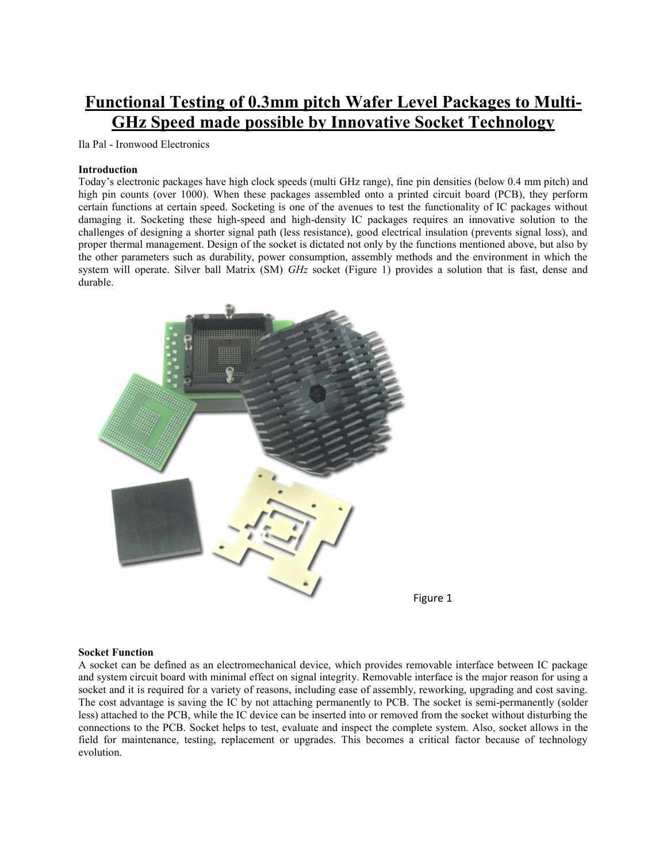# **Functional Testing of 0.3mm pitch Wafer Level Packages to Multi-GHz Speed made possible by Innovative Socket Technology**

Ila Pal - Ironwood Electronics

### **Introduction**

Today's electronic packages have high clock speeds (multi GHz range), fine pin densities (below 0.4 mm pitch) and high pin counts (over 1000). When these packages assembled onto a printed circuit board (PCB), they perform certain functions at certain speed. Socketing is one of the avenues to test the functionality of IC packages without damaging it. Socketing these high-speed and high-density IC packages requires an innovative solution to the challenges of designing a shorter signal path (less resistance), good electrical insulation (prevents signal loss), and proper thermal management. Design of the socket is dictated not only by the functions mentioned above, but also by the other parameters such as durability, power consumption, assembly methods and the environment in which the system will operate. Silver ball Matrix (SM) *GHz* socket (Figure 1) provides a solution that is fast, dense and durable.





## **Socket Function**

A socket can be defined as an electromechanical device, which provides removable interface between IC package and system circuit board with minimal effect on signal integrity. Removable interface is the major reason for using a socket and it is required for a variety of reasons, including ease of assembly, reworking, upgrading and cost saving. The cost advantage is saving the IC by not attaching permanently to PCB. The socket is semi-permanently (solder less) attached to the PCB, while the IC device can be inserted into or removed from the socket without disturbing the connections to the PCB. Socket helps to test, evaluate and inspect the complete system. Also, socket allows in the field for maintenance, testing, replacement or upgrades. This becomes a critical factor because of technology evolution.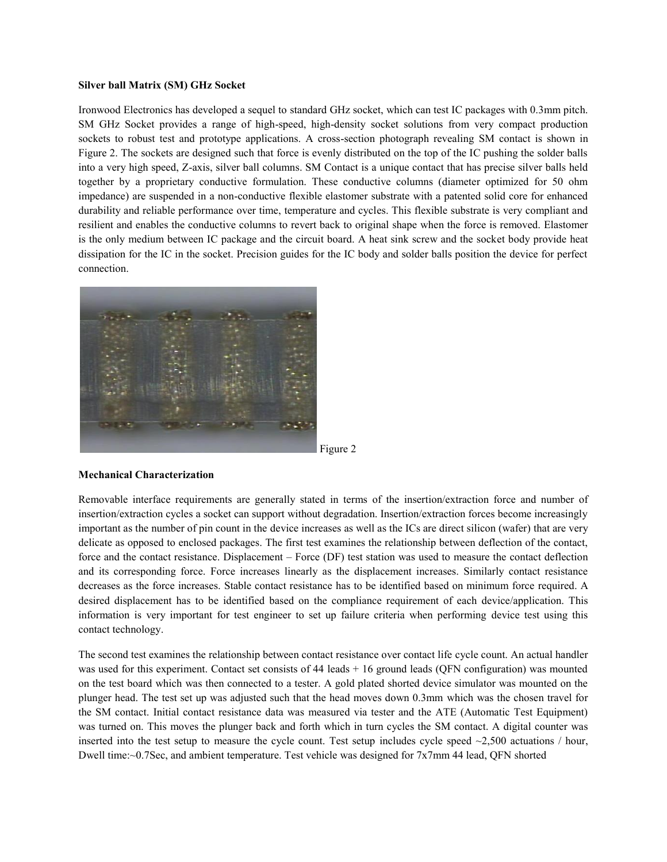### **Silver ball Matrix (SM) GHz Socket**

Ironwood Electronics has developed a sequel to standard GHz socket, which can test IC packages with 0.3mm pitch. SM GHz Socket provides a range of high-speed, high-density socket solutions from very compact production sockets to robust test and prototype applications. A cross-section photograph revealing SM contact is shown in Figure 2. The sockets are designed such that force is evenly distributed on the top of the IC pushing the solder balls into a very high speed, Z-axis, silver ball columns. SM Contact is a unique contact that has precise silver balls held together by a proprietary conductive formulation. These conductive columns (diameter optimized for 50 ohm impedance) are suspended in a non-conductive flexible elastomer substrate with a patented solid core for enhanced durability and reliable performance over time, temperature and cycles. This flexible substrate is very compliant and resilient and enables the conductive columns to revert back to original shape when the force is removed. Elastomer is the only medium between IC package and the circuit board. A heat sink screw and the socket body provide heat dissipation for the IC in the socket. Precision guides for the IC body and solder balls position the device for perfect connection.



Figure 2

#### **Mechanical Characterization**

Removable interface requirements are generally stated in terms of the insertion/extraction force and number of insertion/extraction cycles a socket can support without degradation. Insertion/extraction forces become increasingly important as the number of pin count in the device increases as well as the ICs are direct silicon (wafer) that are very delicate as opposed to enclosed packages. The first test examines the relationship between deflection of the contact, force and the contact resistance. Displacement – Force (DF) test station was used to measure the contact deflection and its corresponding force. Force increases linearly as the displacement increases. Similarly contact resistance decreases as the force increases. Stable contact resistance has to be identified based on minimum force required. A desired displacement has to be identified based on the compliance requirement of each device/application. This information is very important for test engineer to set up failure criteria when performing device test using this contact technology.

The second test examines the relationship between contact resistance over contact life cycle count. An actual handler was used for this experiment. Contact set consists of 44 leads  $+ 16$  ground leads (QFN configuration) was mounted on the test board which was then connected to a tester. A gold plated shorted device simulator was mounted on the plunger head. The test set up was adjusted such that the head moves down 0.3mm which was the chosen travel for the SM contact. Initial contact resistance data was measured via tester and the ATE (Automatic Test Equipment) was turned on. This moves the plunger back and forth which in turn cycles the SM contact. A digital counter was inserted into the test setup to measure the cycle count. Test setup includes cycle speed  $\sim$ 2,500 actuations / hour, Dwell time:~0.7Sec, and ambient temperature. Test vehicle was designed for 7x7mm 44 lead, QFN shorted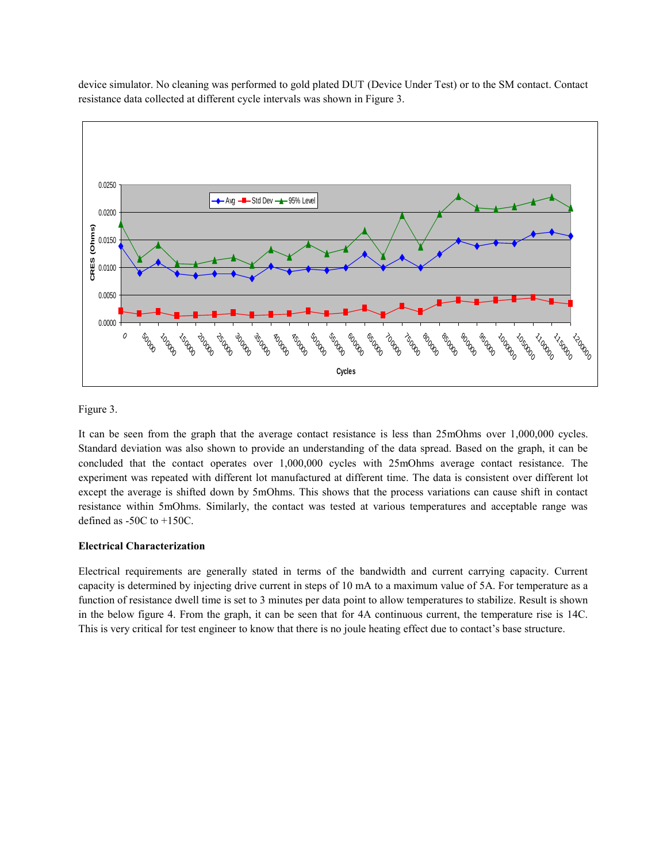device simulator. No cleaning was performed to gold plated DUT (Device Under Test) or to the SM contact. Contact resistance data collected at different cycle intervals was shown in Figure 3.



Figure 3.

It can be seen from the graph that the average contact resistance is less than 25mOhms over 1,000,000 cycles. Standard deviation was also shown to provide an understanding of the data spread. Based on the graph, it can be concluded that the contact operates over 1,000,000 cycles with 25mOhms average contact resistance. The experiment was repeated with different lot manufactured at different time. The data is consistent over different lot except the average is shifted down by 5mOhms. This shows that the process variations can cause shift in contact resistance within 5mOhms. Similarly, the contact was tested at various temperatures and acceptable range was defined as -50C to +150C.

# **Electrical Characterization**

Electrical requirements are generally stated in terms of the bandwidth and current carrying capacity. Current capacity is determined by injecting drive current in steps of 10 mA to a maximum value of 5A. For temperature as a function of resistance dwell time is set to 3 minutes per data point to allow temperatures to stabilize. Result is shown in the below figure 4. From the graph, it can be seen that for 4A continuous current, the temperature rise is 14C. This is very critical for test engineer to know that there is no joule heating effect due to contact's base structure.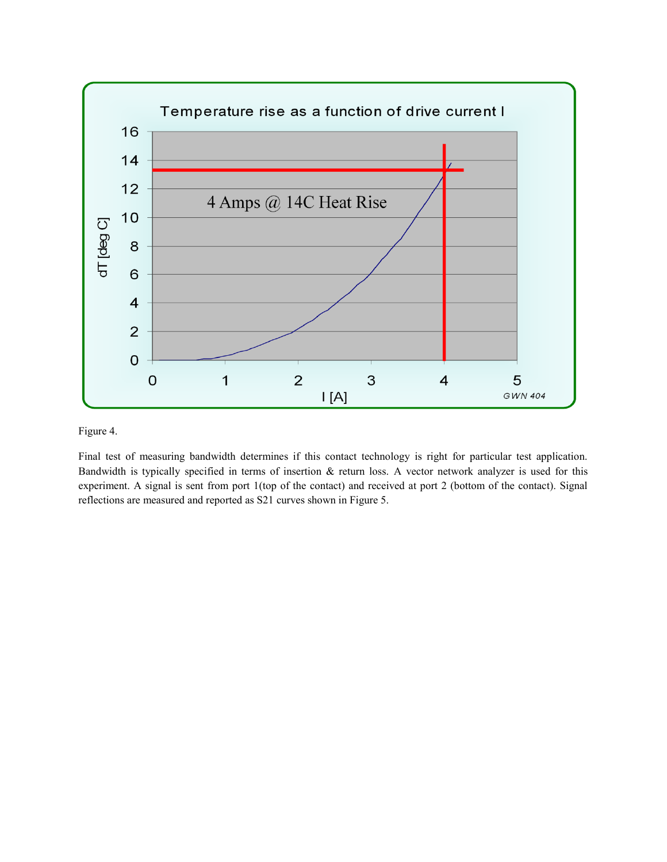

Figure 4.

Final test of measuring bandwidth determines if this contact technology is right for particular test application. Bandwidth is typically specified in terms of insertion & return loss. A vector network analyzer is used for this experiment. A signal is sent from port 1(top of the contact) and received at port 2 (bottom of the contact). Signal reflections are measured and reported as S21 curves shown in Figure 5.